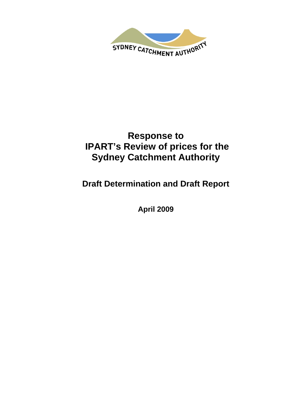

# **Response to IPART's Review of prices for the Sydney Catchment Authority**

**Draft Determination and Draft Report** 

**April 2009**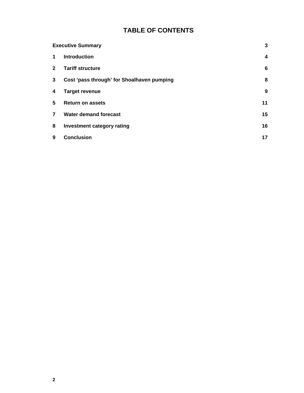## **TABLE OF CONTENTS**

| <b>Executive Summary</b> |                                            | 3                |
|--------------------------|--------------------------------------------|------------------|
| 1                        | <b>Introduction</b>                        | $\boldsymbol{4}$ |
| $\mathbf{2}$             | <b>Tariff structure</b>                    | 6                |
| 3                        | Cost 'pass through' for Shoalhaven pumping | 8                |
| 4                        | <b>Target revenue</b>                      | 9                |
| 5                        | <b>Return on assets</b>                    | 11               |
| $\overline{7}$           | <b>Water demand forecast</b>               | 15               |
| 8                        | Investment category rating                 | 16               |
| 9                        | <b>Conclusion</b>                          | 17               |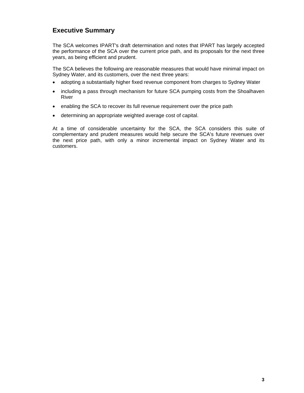## **Executive Summary**

The SCA welcomes IPART's draft determination and notes that IPART has largely accepted the performance of the SCA over the current price path, and its proposals for the next three years, as being efficient and prudent.

The SCA believes the following are reasonable measures that would have minimal impact on Sydney Water, and its customers, over the next three years:

- adopting a substantially higher fixed revenue component from charges to Sydney Water
- including a pass through mechanism for future SCA pumping costs from the Shoalhaven River
- enabling the SCA to recover its full revenue requirement over the price path
- determining an appropriate weighted average cost of capital.

At a time of considerable uncertainty for the SCA, the SCA considers this suite of complementary and prudent measures would help secure the SCA's future revenues over the next price path, with only a minor incremental impact on Sydney Water and its customers.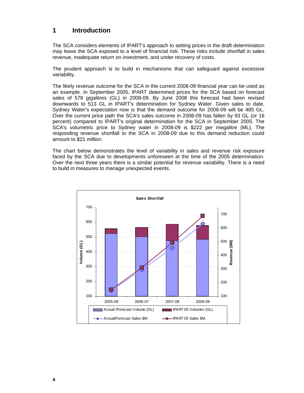#### **1 Introduction**

The SCA considers elements of IPART's approach to setting prices in the draft determination may leave the SCA exposed to a level of financial risk. These risks include shortfall in sales revenue, inadequate return on investment, and under recovery of costs.

The prudent approach is to build in mechanisms that can safeguard against excessive variability.

The likely revenue outcome for the SCA in the current 2008-09 financial year can be used as an example. In September 2005, IPART determined prices for the SCA based on forecast sales of 578 gigalitres (GL) in 2008-09. By June 2008 this forecast had been revised downwards to 513 GL in IPART's determination for Sydney Water. Given sales to date, Sydney Water's expectation now is that the demand outcome for 2008-09 will be 485 GL. Over the current price path the SCA's sales outcome in 2008-09 has fallen by 93 GL (or 16 percent) compared to IPART's original determination for the SCA in September 2005. The SCA's volumetric price to Sydney water in 2008-09 is \$222 per megalitre (ML). The responding revenue shortfall to the SCA in 2008-09 due to this demand reduction could amount to \$21 million.

The chart below demonstrates the level of variability in sales and revenue risk exposure faced by the SCA due to developments unforeseen at the time of the 2005 determination. Over the next three years there is a similar potential for revenue variability. There is a need to build in measures to manage unexpected events.

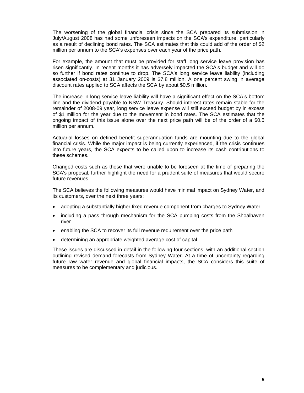The worsening of the global financial crisis since the SCA prepared its submission in July/August 2008 has had some unforeseen impacts on the SCA's expenditure, particularly as a result of declining bond rates. The SCA estimates that this could add of the order of \$2 million per annum to the SCA's expenses over each year of the price path.

For example, the amount that must be provided for staff long service leave provision has risen significantly. In recent months it has adversely impacted the SCA's budget and will do so further if bond rates continue to drop. The SCA's long service leave liability (including associated on-costs) at 31 January 2009 is \$7.8 million. A one percent swing in average discount rates applied to SCA affects the SCA by about \$0.5 million.

The increase in long service leave liability will have a significant effect on the SCA's bottom line and the dividend payable to NSW Treasury. Should interest rates remain stable for the remainder of 2008-09 year, long service leave expense will still exceed budget by in excess of \$1 million for the year due to the movement in bond rates. The SCA estimates that the ongoing impact of this issue alone over the next price path will be of the order of a \$0.5 million per annum.

Actuarial losses on defined benefit superannuation funds are mounting due to the global financial crisis. While the major impact is being currently experienced, if the crisis continues into future years, the SCA expects to be called upon to increase its cash contributions to these schemes.

Changed costs such as these that were unable to be foreseen at the time of preparing the SCA's proposal, further highlight the need for a prudent suite of measures that would secure future revenues.

The SCA believes the following measures would have minimal impact on Sydney Water, and its customers, over the next three years:

- adopting a substantially higher fixed revenue component from charges to Sydney Water
- including a pass through mechanism for the SCA pumping costs from the Shoalhaven river
- enabling the SCA to recover its full revenue requirement over the price path
- determining an appropriate weighted average cost of capital.

These issues are discussed in detail in the following four sections, with an additional section outlining revised demand forecasts from Sydney Water. At a time of uncertainty regarding future raw water revenue and global financial impacts, the SCA considers this suite of measures to be complementary and judicious.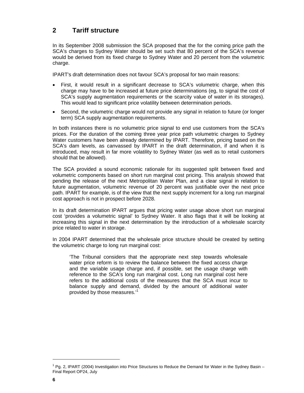## **2 Tariff structure**

In its September 2008 submission the SCA proposed that the for the coming price path the SCA's charges to Sydney Water should be set such that 80 percent of the SCA's revenue would be derived from its fixed charge to Sydney Water and 20 percent from the volumetric charge.

IPART's draft determination does not favour SCA's proposal for two main reasons:

- First, it would result in a significant decrease to SCA's volumetric charge, when this charge may have to be increased at future price determinations (eg, to signal the cost of SCA's supply augmentation requirements or the scarcity value of water in its storages). This would lead to significant price volatility between determination periods.
- Second, the volumetric charge would not provide any signal in relation to future (or longer term) SCA supply augmentation requirements.

In both instances there is no volumetric price signal to end use customers from the SCA's prices. For the duration of the coming three year price path volumetric charges to Sydney Water customers have been already determined by IPART. Therefore, pricing based on the SCA's dam levels, as canvassed by IPART in the draft determination, if and when it is introduced, may result in far more volatility to Sydney Water (as well as to retail customers should that be allowed).

The SCA provided a sound economic rationale for its suggested split between fixed and volumetric components based on short run marginal cost pricing. This analysis showed that pending the release of the next Metropolitan Water Plan, and a clear signal in relation to future augmentation, volumetric revenue of 20 percent was justifiable over the next price path. IPART for example, is of the view that the next supply increment for a long run marginal cost approach is not in prospect before 2028.

In its draft determination IPART argues that pricing water usage above short run marginal cost 'provides a volumetric signal' to Sydney Water. It also flags that it will be looking at increasing this signal in the next determination by the introduction of a wholesale scarcity price related to water in storage.

In 2004 IPART determined that the wholesale price structure should be created by setting the volumetric charge to long run marginal cost:

'The Tribunal considers that the appropriate next step towards wholesale water price reform is to review the balance between the fixed access charge and the variable usage charge and, if possible, set the usage charge with reference to the SCA's long run marginal cost. Long run marginal cost here refers to the additional costs of the measures that the SCA must incur to balance supply and demand, divided by the amount of additional water provided by those measures.<sup>'1</sup>

<sup>&</sup>lt;sup>1</sup> Pg. 2, IPART (2004) Investigation into Price Structures to Reduce the Demand for Water in the Sydney Basin – Final Report OP24, July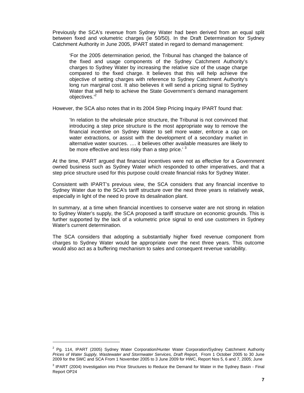Previously the SCA's revenue from Sydney Water had been derived from an equal split between fixed and volumetric charges (ie 50/50). In the Draft Determination for Sydney Catchment Authority in June 2005, IPART stated in regard to demand management:

'For the 2005 determination period, the Tribunal has changed the balance of the fixed and usage components of the Sydney Catchment Authority's charges to Sydney Water by increasing the relative size of the usage charge compared to the fixed charge. It believes that this will help achieve the objective of setting charges with reference to Sydney Catchment Authority's long run marginal cost. It also believes it will send a pricing signal to Sydney Water that will help to achieve the State Government's demand management objectives.'<sup>2</sup>

However, the SCA also notes that in its 2004 Step Pricing Inquiry IPART found that:

'In relation to the wholesale price structure, the Tribunal is not convinced that introducing a step price structure is the most appropriate way to remove the financial incentive on Sydney Water to sell more water, enforce a cap on water extractions, or assist with the development of a secondary market in alternative water sources. …. it believes other available measures are likely to be more effective and less risky than a step price.'  $3$ 

At the time, IPART argued that financial incentives were not as effective for a Government owned business such as Sydney Water which responded to other imperatives, and that a step price structure used for this purpose could create financial risks for Sydney Water.

Consistent with IPART's previous view, the SCA considers that any financial incentive to Sydney Water due to the SCA's tariff structure over the next three years is relatively weak, especially in light of the need to prove its desalination plant.

In summary, at a time when financial incentives to conserve water are not strong in relation to Sydney Water's supply, the SCA proposed a tariff structure on economic grounds. This is further supported by the lack of a volumetric price signal to end use customers in Sydney Water's current determination.

The SCA considers that adopting a substantially higher fixed revenue component from charges to Sydney Water would be appropriate over the next three years. This outcome would also act as a buffering mechanism to sales and consequent revenue variability.

<sup>&</sup>lt;sup>2</sup> Pg. 114, IPART (2005) Sydney Water Corporation/Hunter Water Corporation/Sydney Catchment Authority Prices of Water Supply, Wastewater and Stormwater Services, Draft Report, From 1 October 2005 to 30 June 2009 for the SWC and SCA From 1 November 2005 to 3 June 2009 for HWC, Report Nos 5, 6 and 7, 2005; June

<sup>&</sup>lt;sup>3</sup> IPART (2004) Investigation into Price Structures to Reduce the Demand for Water in the Sydney Basin - Final Report OP24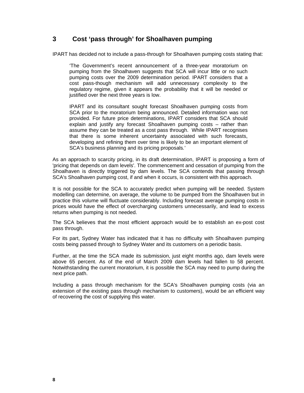#### **3 Cost 'pass through' for Shoalhaven pumping**

IPART has decided not to include a pass-through for Shoalhaven pumping costs stating that:

'The Government's recent announcement of a three-year moratorium on pumping from the Shoalhaven suggests that SCA will incur little or no such pumping costs over the 2009 determination period. IPART considers that a cost pass-though mechanism will add unnecessary complexity to the regulatory regime, given it appears the probability that it will be needed or justified over the next three years is low.

IPART and its consultant sought forecast Shoalhaven pumping costs from SCA prior to the moratorium being announced. Detailed information was not provided. For future price determinations, IPART considers that SCA should explain and justify any forecast Shoalhaven pumping costs – rather than assume they can be treated as a cost pass through. While IPART recognises that there is some inherent uncertainty associated with such forecasts, developing and refining them over time is likely to be an important element of SCA's business planning and its pricing proposals*.*'

As an approach to scarcity pricing, in its draft determination, IPART is proposing a form of 'pricing that depends on dam levels'. The commencement and cessation of pumping from the Shoalhaven is directly triggered by dam levels. The SCA contends that passing through SCA's Shoalhaven pumping cost, if and when it occurs, is consistent with this approach.

It is not possible for the SCA to accurately predict when pumping will be needed. System modelling can determine, on average, the volume to be pumped from the Shoalhaven but in practice this volume will fluctuate considerably. Including forecast average pumping costs in prices would have the effect of overcharging customers unnecessarily, and lead to excess returns when pumping is not needed.

The SCA believes that the most efficient approach would be to establish an ex-post cost pass through.

For its part, Sydney Water has indicated that it has no difficulty with Shoalhaven pumping costs being passed through to Sydney Water and its customers on a periodic basis.

Further, at the time the SCA made its submission, just eight months ago, dam levels were above 65 percent. As of the end of March 2009 dam levels had fallen to 58 percent. Notwithstanding the current moratorium, it is possible the SCA may need to pump during the next price path.

Including a pass through mechanism for the SCA's Shoalhaven pumping costs (via an extension of the existing pass through mechanism to customers), would be an efficient way of recovering the cost of supplying this water.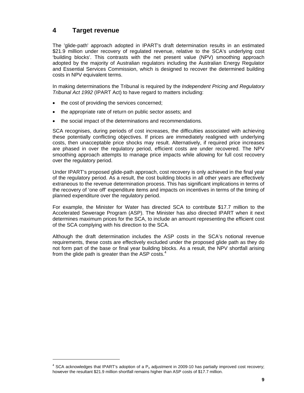#### **4 Target revenue**

l

The 'glide-path' approach adopted in IPART's draft determination results in an estimated \$21.9 million under recovery of regulated revenue, relative to the SCA's underlying cost 'building blocks'. This contrasts with the net present value (NPV) smoothing approach adopted by the majority of Australian regulators including the Australian Energy Regulator and Essential Services Commission, which is designed to recover the determined building costs in NPV equivalent terms.

In making determinations the Tribunal is required by the *Independent Pricing and Regulatory Tribunal Act 1992* (IPART Act) to have regard to matters including:

- the cost of providing the services concerned;
- the appropriate rate of return on public sector assets; and
- the social impact of the determinations and recommendations.

SCA recognises, during periods of cost increases, the difficulties associated with achieving these potentially conflicting objectives. If prices are immediately realigned with underlying costs, then unacceptable price shocks may result. Alternatively, if required price increases are phased in over the regulatory period, efficient costs are under recovered. The NPV smoothing approach attempts to manage price impacts while allowing for full cost recovery over the regulatory period.

Under IPART's proposed glide-path approach, cost recovery is only achieved in the final year of the regulatory period. As a result, the cost building blocks in all other years are effectively extraneous to the revenue determination process. This has significant implications in terms of the recovery of 'one off' expenditure items and impacts on incentives in terms of the timing of planned expenditure over the regulatory period.

For example, the Minister for Water has directed SCA to contribute \$17.7 million to the Accelerated Sewerage Program (ASP). The Minister has also directed IPART when it next determines maximum prices for the SCA, to include an amount representing the efficient cost of the SCA complying with his direction to the SCA.

Although the draft determination includes the ASP costs in the SCA's notional revenue requirements, these costs are effectively excluded under the proposed glide path as they do not form part of the base or final year building blocks. As a result, the NPV shortfall arising from the glide path is greater than the ASP costs. $4$ 

 $<sup>4</sup>$  SCA acknowledges that IPART's adoption of a P<sub>o</sub> adjustment in 2009-10 has partially improved cost recovery;</sup> however the resultant \$21.9 million shortfall remains higher than ASP costs of \$17.7 million.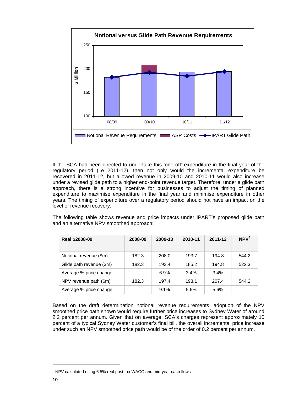

If the SCA had been directed to undertake this 'one off' expenditure in the final year of the regulatory period (i.e 2011-12), then not only would the incremental expenditure be recovered in 2011-12, but allowed revenue in 2009-10 and 2010-11 would also increase under a revised glide path to a higher end-point revenue target. Therefore, under a glide path approach, there is a strong incentive for businesses to adjust the timing of planned expenditure to maximise expenditure in the final year and minimise expenditure in other years. The timing of expenditure over a regulatory period should not have an impact on the level of revenue recovery.

The following table shows revenue and price impacts under IPART's proposed glide path and an alternative NPV smoothed approach:

| <b>Real \$2008-09</b>    | 2008-09 | 2009-10 | 2010-11 | 2011-12 | NPV <sup>5</sup> |
|--------------------------|---------|---------|---------|---------|------------------|
| Notional revenue (\$m)   | 182.3   | 208.0   | 193.7   | 194.8   | 544.2            |
| Glide path revenue (\$m) | 182.3   | 193.4   | 185.2   | 194.8   | 522.3            |
| Average % price change   |         | 6.9%    | 3.4%    | 3.4%    |                  |
| NPV revenue path (\$m)   | 182.3   | 197.4   | 193.1   | 207.4   | 544.2            |
| Average % price change   |         | 9.1%    | 5.6%    | 5.6%    |                  |

Based on the draft determination notional revenue requirements, adoption of the NPV smoothed price path shown would require further price increases to Sydney Water of around 2.2 percent per annum. Given that on average, SCA's charges represent approximately 10 percent of a typical Sydney Water customer's final bill, the overall incremental price increase under such an NPV smoothed price path would be of the order of 0.2 percent per annum.

<sup>&</sup>lt;sup>5</sup> NPV calculated using 6.5% real post-tax WACC and mid-year cash flows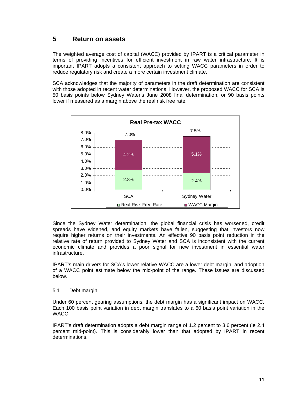#### **5 Return on assets**

The weighted average cost of capital (WACC) provided by IPART is a critical parameter in terms of providing incentives for efficient investment in raw water infrastructure. It is important IPART adopts a consistent approach to setting WACC parameters in order to reduce regulatory risk and create a more certain investment climate.

SCA acknowledges that the majority of parameters in the draft determination are consistent with those adopted in recent water determinations. However, the proposed WACC for SCA is 50 basis points below Sydney Water's June 2008 final determination, or 90 basis points lower if measured as a margin above the real risk free rate.



Since the Sydney Water determination, the global financial crisis has worsened, credit spreads have widened, and equity markets have fallen, suggesting that investors now require higher returns on their investments. An effective 90 basis point reduction in the relative rate of return provided to Sydney Water and SCA is inconsistent with the current economic climate and provides a poor signal for new investment in essential water infrastructure.

IPART's main drivers for SCA's lower relative WACC are a lower debt margin, and adoption of a WACC point estimate below the mid-point of the range. These issues are discussed below.

#### 5.1 Debt margin

Under 60 percent gearing assumptions, the debt margin has a significant impact on WACC. Each 100 basis point variation in debt margin translates to a 60 basis point variation in the WACC.

IPART's draft determination adopts a debt margin range of 1.2 percent to 3.6 percent (ie 2.4 percent mid-point). This is considerably lower than that adopted by IPART in recent determinations.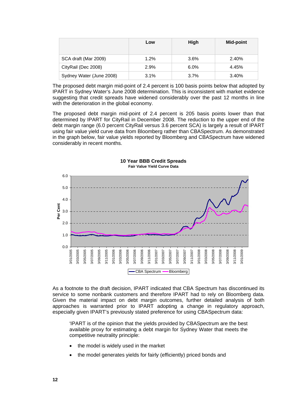|                          | Low  | High | <b>Mid-point</b> |
|--------------------------|------|------|------------------|
| SCA draft (Mar 2009)     | 1.2% | 3.6% | 2.40%            |
| CityRail (Dec 2008)      | 2.9% | 6.0% | 4.45%            |
| Sydney Water (June 2008) | 3.1% | 3.7% | 3.40%            |

The proposed debt margin mid-point of 2.4 percent is 100 basis points below that adopted by IPART in Sydney Water's June 2008 determination. This is inconsistent with market evidence suggesting that credit spreads have widened considerably over the past 12 months in line with the deterioration in the global economy.

The proposed debt margin mid-point of 2.4 percent is 205 basis points lower than that determined by IPART for CityRail in December 2008. The reduction to the upper end of the debt margin range (6.0 percent CityRail versus 3.6 percent SCA) is largely a result of IPART using fair value yield curve data from Bloomberg rather than CBASpectrum. As demonstrated in the graph below, fair value yields reported by Bloomberg and CBASpectrum have widened considerably in recent months.



#### **10 Year BBB Credit Spreads Fair Value Yield Curve Data**

As a footnote to the draft decision, IPART indicated that CBA Spectrum has discontinued its service to some nonbank customers and therefore IPART had to rely on Bloomberg data. Given the material impact on debt margin outcomes, further detailed analysis of both approaches is warranted prior to IPART adopting a change in regulatory approach, especially given IPART's previously stated preference for using CBASpectrum data:

'IPART is of the opinion that the yields provided by CBASpectrum are the best available proxy for estimating a debt margin for Sydney Water that meets the competitive neutrality principle:

- the model is widely used in the market
- the model generates yields for fairly (efficiently) priced bonds and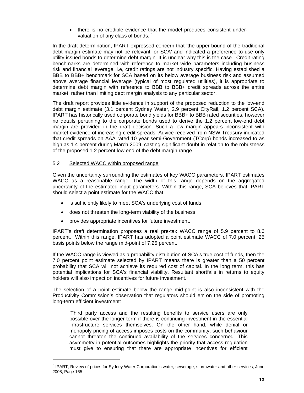• there is no credible evidence that the model produces consistent undervaluation of any class of bonds.'6

In the draft determination, IPART expressed concern that 'the upper bound of the traditional debt margin estimate may not be relevant for SCA' and indicated a preference to use only utility-issued bonds to determine debt margin. It is unclear why this is the case. Credit rating benchmarks are determined with reference to market wide parameters including business risk and financial leverage, i.e, credit ratings are not industry specific. Having established a BBB to BBB+ benchmark for SCA based on its below average business risk and assumed above average financial leverage (typical of most regulated utilities), it is appropriate to determine debt margin with reference to BBB to BBB+ credit spreads across the entire market, rather than limiting debt margin analysis to any particular sector.

The draft report provides little evidence in support of the proposed reduction to the low-end debt margin estimate (3.1 percent Sydney Water, 2.9 percent CityRail, 1.2 percent SCA). IPART has historically used corporate bond yields for BBB+ to BBB rated securities, however no details pertaining to the corporate bonds used to derive the 1.2 percent low-end debt margin are provided in the draft decision. Such a low margin appears inconsistent with market evidence of increasing credit spreads. Advice received from NSW Treasury indicated that credit spreads on AAA rated 10 year semi-Government (TCorp) bonds increased to as high as 1.4 percent during March 2009, casting significant doubt in relation to the robustness of the proposed 1.2 percent low end of the debt margin range.

#### 5.2 Selected WACC within proposed range

l

Given the uncertainty surrounding the estimates of key WACC parameters, IPART estimates WACC as a reasonable range. The width of this range depends on the aggregated uncertainty of the estimated input parameters. Within this range, SCA believes that IPART should select a point estimate for the WACC that:

- is sufficiently likely to meet SCA's underlying cost of funds
- does not threaten the long-term viability of the business
- provides appropriate incentives for future investment.

IPART's draft determination proposes a real pre-tax WACC range of 5.9 percent to 8.6 percent. Within this range, IPART has adopted a point estimate WACC of 7.0 percent, 25 basis points below the range mid-point of 7.25 percent.

If the WACC range is viewed as a probability distribution of SCA's true cost of funds, then the 7.0 percent point estimate selected by IPART means there is greater than a 50 percent probability that SCA will not achieve its required cost of capital. In the long term, this has potential implications for SCA's financial viability. Resultant shortfalls in returns to equity holders will also impact on incentives for future investment.

The selection of a point estimate below the range mid-point is also inconsistent with the Productivity Commission's observation that regulators should err on the side of promoting long-term efficient investment:

'Third party access and the resulting benefits to service users are only possible over the longer term if there is continuing investment in the essential infrastructure services themselves. On the other hand, while denial or monopoly pricing of access imposes costs on the community, such behaviour cannot threaten the continued availability of the services concerned. This asymmetry in potential outcomes highlights the priority that access regulation must give to ensuring that there are appropriate incentives for efficient

<sup>&</sup>lt;sup>6</sup> IPART, Review of prices for Sydney Water Corporation's water, sewerage, stormwater and other services, June 2008, Page 165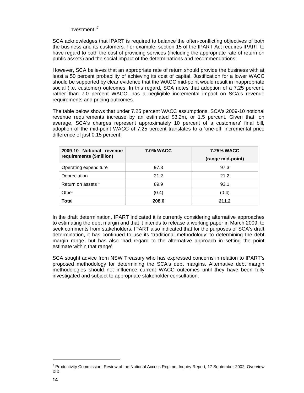investment.'<sup>7</sup>

SCA acknowledges that IPART is required to balance the often-conflicting objectives of both the business and its customers. For example, section 15 of the IPART Act requires IPART to have regard to both the cost of providing services (including the appropriate rate of return on public assets) and the social impact of the determinations and recommendations.

However, SCA believes that an appropriate rate of return should provide the business with at least a 50 percent probability of achieving its cost of capital. Justification for a lower WACC should be supported by clear evidence that the WACC mid-point would result in inappropriate social (i.e. customer) outcomes. In this regard, SCA notes that adoption of a 7.25 percent, rather than 7.0 percent WACC, has a negligible incremental impact on SCA's revenue requirements and pricing outcomes.

The table below shows that under 7.25 percent WACC assumptions, SCA's 2009-10 notional revenue requirements increase by an estimated \$3.2m, or 1.5 percent. Given that, on average, SCA's charges represent approximately 10 percent of a customers' final bill, adoption of the mid-point WACC of 7.25 percent translates to a 'one-off' incremental price difference of just 0.15 percent.

| 2009-10 Notional revenue<br>requirements (\$million) | <b>7.0% WACC</b> | <b>7.25% WACC</b><br>(range mid-point) |
|------------------------------------------------------|------------------|----------------------------------------|
| Operating expenditure                                | 97.3             | 97.3                                   |
| Depreciation                                         | 21.2             | 21.2                                   |
| Return on assets *                                   | 89.9             | 93.1                                   |
| Other                                                | (0.4)            | (0.4)                                  |
| Total                                                | 208.0            | 211.2                                  |

In the draft determination, IPART indicated it is currently considering alternative approaches to estimating the debt margin and that it intends to release a working paper in March 2009, to seek comments from stakeholders. IPART also indicated that for the purposes of SCA's draft determination, it has continued to use its 'traditional methodology' to determining the debt margin range, but has also 'had regard to the alternative approach in setting the point estimate within that range'.

SCA sought advice from NSW Treasury who has expressed concerns in relation to IPART's proposed methodology for determining the SCA's debt margins. Alternative debt margin methodologies should not influence current WACC outcomes until they have been fully investigated and subject to appropriate stakeholder consultation.

<sup>&</sup>lt;sup>7</sup> Productivity Commission, Review of the National Access Regime, Inquiry Report, 17 September 2002, Overview XIX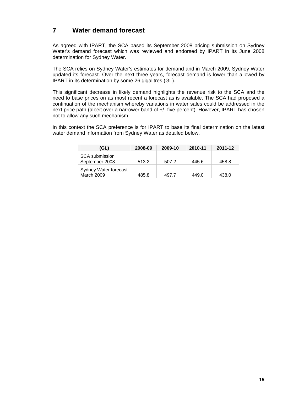#### **7 Water demand forecast**

As agreed with IPART, the SCA based its September 2008 pricing submission on Sydney Water's demand forecast which was reviewed and endorsed by IPART in its June 2008 determination for Sydney Water.

The SCA relies on Sydney Water's estimates for demand and in March 2009, Sydney Water updated its forecast. Over the next three years, forecast demand is lower than allowed by IPART in its determination by some 26 gigalitres (GL).

This significant decrease in likely demand highlights the revenue risk to the SCA and the need to base prices on as most recent a forecast as is available. The SCA had proposed a continuation of the mechanism whereby variations in water sales could be addressed in the next price path (albeit over a narrower band of +/- five percent). However, IPART has chosen not to allow any such mechanism.

In this context the SCA preference is for IPART to base its final determination on the latest water demand information from Sydney Water as detailed below.

| (GL)                                       | 2008-09 | 2009-10 | 2010-11 | 2011-12 |
|--------------------------------------------|---------|---------|---------|---------|
| <b>SCA</b> submission<br>September 2008    | 513.2   | 507.2   | 445.6   | 458.8   |
| Sydney Water forecast<br><b>March 2009</b> | 485.8   | 497.7   | 449.0   | 438.0   |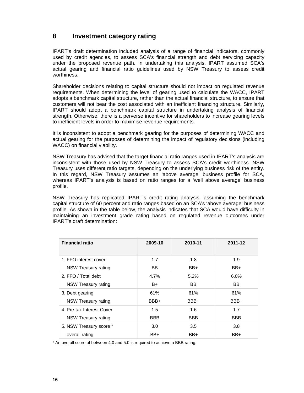#### **8 Investment category rating**

IPART's draft determination included analysis of a range of financial indicators, commonly used by credit agencies, to assess SCA's financial strength and debt servicing capacity under the proposed revenue path. In undertaking this analysis, IPART assumed SCA's actual gearing and financial ratio guidelines used by NSW Treasury to assess credit worthiness.

Shareholder decisions relating to capital structure should not impact on regulated revenue requirements. When determining the level of gearing used to calculate the WACC, IPART adopts a benchmark capital structure, rather than the actual financial structure, to ensure that customers will not bear the cost associated with an inefficient financing structure. Similarly, IPART should adopt a benchmark capital structure in undertaking analysis of financial strength. Otherwise, there is a perverse incentive for shareholders to increase gearing levels to inefficient levels in order to maximise revenue requirements.

It is inconsistent to adopt a benchmark gearing for the purposes of determining WACC and actual gearing for the purposes of determining the impact of regulatory decisions (including WACC) on financial viability.

NSW Treasury has advised that the target financial ratio ranges used in IPART's analysis are inconsistent with those used by NSW Treasury to assess SCA's credit worthiness. NSW Treasury uses different ratio targets, depending on the underlying business risk of the entity. In this regard, NSW Treasury assumes an 'above average' business profile for SCA, whereas IPART's analysis is based on ratio ranges for a 'well above average' business profile.

NSW Treasury has replicated IPART's credit rating analysis, assuming the benchmark capital structure of 60 percent and ratio ranges based on an SCA's 'above average' business profile. As shown in the table below, the analysis indicates that SCA would have difficulty in maintaining an investment grade rating based on regulated revenue outcomes under IPART's draft determination:

| <b>Financial ratio</b>    | 2009-10    | 2010-11    | 2011-12    |
|---------------------------|------------|------------|------------|
| 1. FFO interest cover     | 1.7        | 1.8        | 1.9        |
| NSW Treasury rating       | BB         | BB+        | BB+        |
| 2. FFO / Total debt       | 4.7%       | 5.2%       | $6.0\%$    |
| NSW Treasury rating       | B+         | BB.        | BB         |
| 3. Debt gearing           | 61%        | 61%        | 61%        |
| NSW Treasury rating       | BBB+       | BBB+       | BBB+       |
| 4. Pre-tax Interest Cover | 1.5        | 1.6        | 1.7        |
| NSW Treasury rating       | <b>BBB</b> | <b>BBB</b> | <b>BBB</b> |
| 5. NSW Treasury score *   | 3.0        | 3.5        | 3.8        |
| overall rating            | BB+        | BB+        | BB+        |

\* An overall score of between 4.0 and 5.0 is required to achieve a BBB rating.